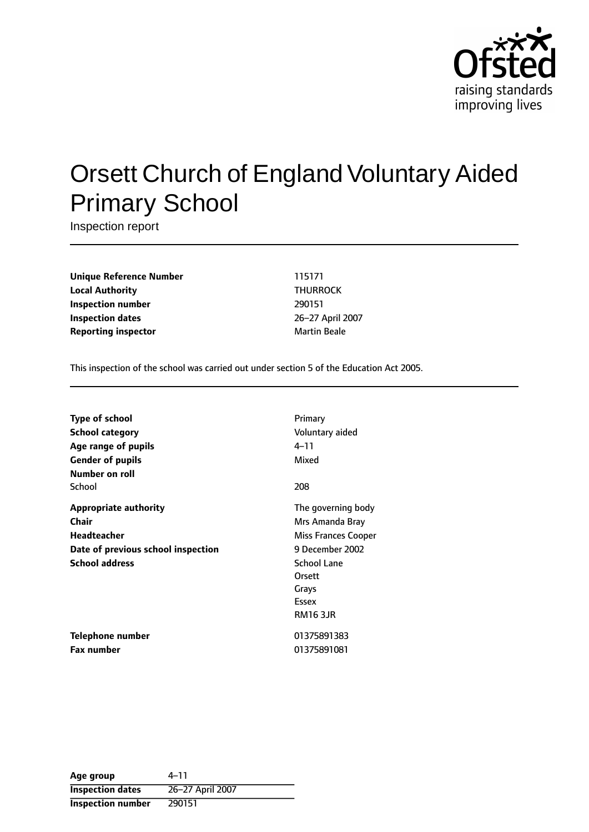

# Orsett Church of England Voluntary Aided Primary School

Inspection report

**Unique Reference Number** 115171 **Local Authority** THURROCK **Inspection number** 290151 **Inspection dates** 26-27 April 2007 **Reporting inspector** Martin Beale

This inspection of the school was carried out under section 5 of the Education Act 2005.

| <b>Type of school</b>              | Primary             |
|------------------------------------|---------------------|
| School category                    | Voluntary aided     |
| Age range of pupils                | 4–11                |
| <b>Gender of pupils</b>            | Mixed               |
| Number on roll                     |                     |
| School                             | 208                 |
| Appropriate authority              | The governing body  |
| Chair                              | Mrs Amanda Bray     |
| Headteacher                        | Miss Frances Cooper |
| Date of previous school inspection | 9 December 2002     |
| <b>School address</b>              | <b>School Lane</b>  |
|                                    | Orsett              |
|                                    | Grays               |
|                                    | Essex               |
|                                    | <b>RM16 3JR</b>     |
| <b>Telephone number</b>            | 01375891383         |
| <b>Fax number</b>                  | 01375891081         |

| Age group                | 4–11             |
|--------------------------|------------------|
| <b>Inspection dates</b>  | 26-27 April 2007 |
| <b>Inspection number</b> | 290151           |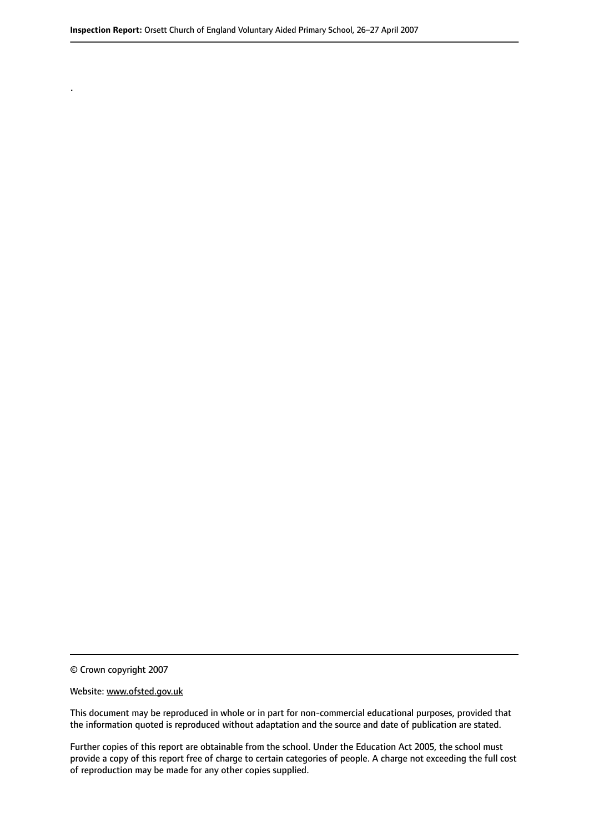© Crown copyright 2007

.

#### Website: www.ofsted.gov.uk

This document may be reproduced in whole or in part for non-commercial educational purposes, provided that the information quoted is reproduced without adaptation and the source and date of publication are stated.

Further copies of this report are obtainable from the school. Under the Education Act 2005, the school must provide a copy of this report free of charge to certain categories of people. A charge not exceeding the full cost of reproduction may be made for any other copies supplied.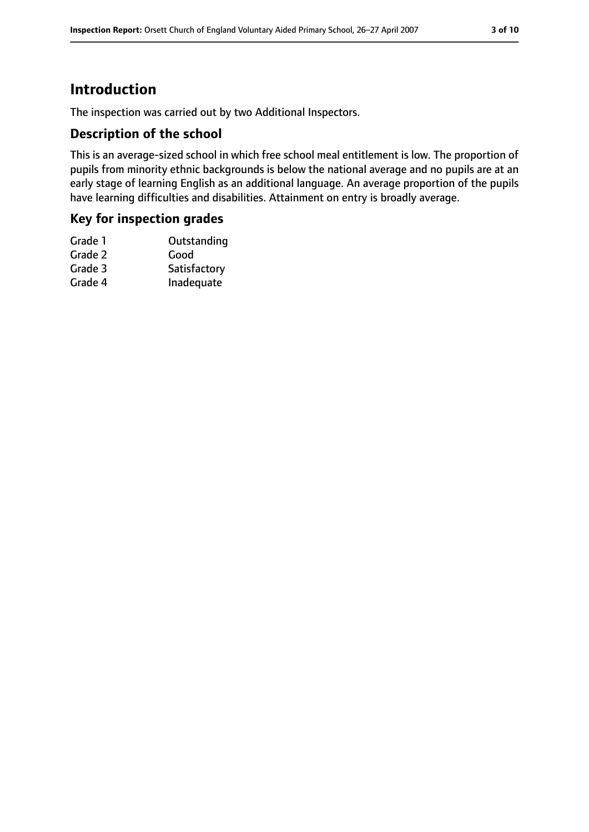### **Introduction**

The inspection was carried out by two Additional Inspectors.

#### **Description of the school**

This is an average-sized school in which free school meal entitlement is low. The proportion of pupils from minority ethnic backgrounds is below the national average and no pupils are at an early stage of learning English as an additional language. An average proportion of the pupils have learning difficulties and disabilities. Attainment on entry is broadly average.

#### **Key for inspection grades**

| Satisfactory |
|--------------|
| Inadequate   |
|              |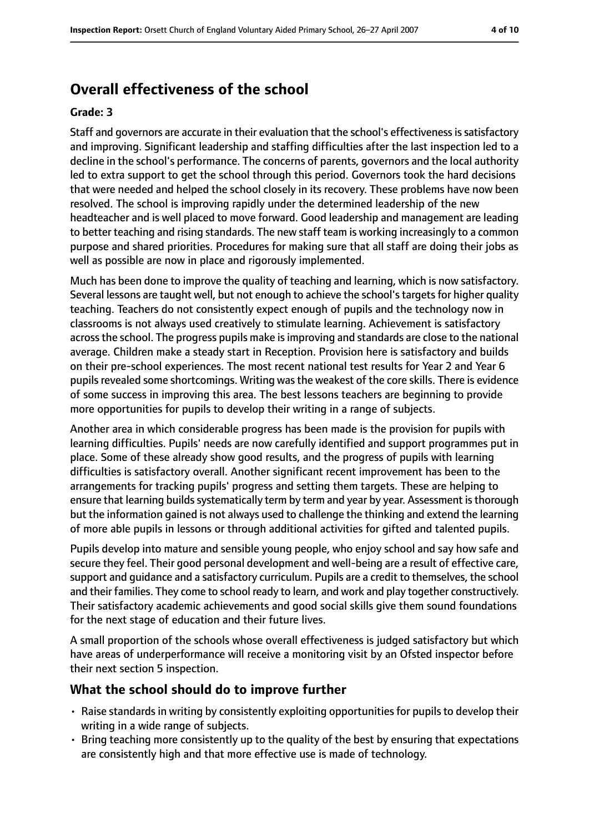### **Overall effectiveness of the school**

#### **Grade: 3**

Staff and governors are accurate in their evaluation that the school's effectivenessissatisfactory and improving. Significant leadership and staffing difficulties after the last inspection led to a decline in the school's performance. The concerns of parents, governors and the local authority led to extra support to get the school through this period. Governors took the hard decisions that were needed and helped the school closely in its recovery. These problems have now been resolved. The school is improving rapidly under the determined leadership of the new headteacher and is well placed to move forward. Good leadership and management are leading to better teaching and rising standards. The new staff team is working increasingly to a common purpose and shared priorities. Procedures for making sure that all staff are doing their jobs as well as possible are now in place and rigorously implemented.

Much has been done to improve the quality of teaching and learning, which is now satisfactory. Several lessons are taught well, but not enough to achieve the school's targets for higher quality teaching. Teachers do not consistently expect enough of pupils and the technology now in classrooms is not always used creatively to stimulate learning. Achievement is satisfactory across the school. The progress pupils make is improving and standards are close to the national average. Children make a steady start in Reception. Provision here is satisfactory and builds on their pre-school experiences. The most recent national test results for Year 2 and Year 6 pupils revealed some shortcomings. Writing was the weakest of the core skills. There is evidence of some success in improving this area. The best lessons teachers are beginning to provide more opportunities for pupils to develop their writing in a range of subjects.

Another area in which considerable progress has been made is the provision for pupils with learning difficulties. Pupils' needs are now carefully identified and support programmes put in place. Some of these already show good results, and the progress of pupils with learning difficulties is satisfactory overall. Another significant recent improvement has been to the arrangements for tracking pupils' progress and setting them targets. These are helping to ensure that learning builds systematically term by term and year by year. Assessment is thorough but the information gained is not always used to challenge the thinking and extend the learning of more able pupils in lessons or through additional activities for gifted and talented pupils.

Pupils develop into mature and sensible young people, who enjoy school and say how safe and secure they feel. Their good personal development and well-being are a result of effective care, support and guidance and a satisfactory curriculum. Pupils are a credit to themselves, the school and their families. They come to school ready to learn, and work and play together constructively. Their satisfactory academic achievements and good social skills give them sound foundations for the next stage of education and their future lives.

A small proportion of the schools whose overall effectiveness is judged satisfactory but which have areas of underperformance will receive a monitoring visit by an Ofsted inspector before their next section 5 inspection.

#### **What the school should do to improve further**

- Raise standards in writing by consistently exploiting opportunities for pupils to develop their writing in a wide range of subjects.
- Bring teaching more consistently up to the quality of the best by ensuring that expectations are consistently high and that more effective use is made of technology.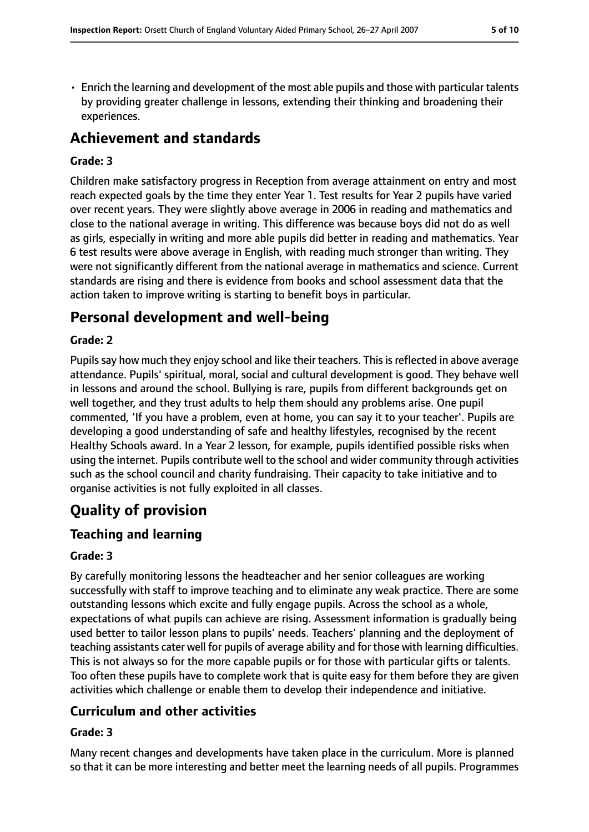• Enrich the learning and development of the most able pupils and those with particular talents by providing greater challenge in lessons, extending their thinking and broadening their experiences.

### **Achievement and standards**

#### **Grade: 3**

Children make satisfactory progress in Reception from average attainment on entry and most reach expected goals by the time they enter Year 1. Test results for Year 2 pupils have varied over recent years. They were slightly above average in 2006 in reading and mathematics and close to the national average in writing. This difference was because boys did not do as well as girls, especially in writing and more able pupils did better in reading and mathematics. Year 6 test results were above average in English, with reading much stronger than writing. They were not significantly different from the national average in mathematics and science. Current standards are rising and there is evidence from books and school assessment data that the action taken to improve writing is starting to benefit boys in particular.

### **Personal development and well-being**

#### **Grade: 2**

Pupils say how much they enjoy school and like their teachers. This is reflected in above average attendance. Pupils' spiritual, moral, social and cultural development is good. They behave well in lessons and around the school. Bullying is rare, pupils from different backgrounds get on well together, and they trust adults to help them should any problems arise. One pupil commented, 'If you have a problem, even at home, you can say it to your teacher'. Pupils are developing a good understanding of safe and healthy lifestyles, recognised by the recent Healthy Schools award. In a Year 2 lesson, for example, pupils identified possible risks when using the internet. Pupils contribute well to the school and wider community through activities such as the school council and charity fundraising. Their capacity to take initiative and to organise activities is not fully exploited in all classes.

## **Quality of provision**

#### **Teaching and learning**

#### **Grade: 3**

By carefully monitoring lessons the headteacher and her senior colleagues are working successfully with staff to improve teaching and to eliminate any weak practice. There are some outstanding lessons which excite and fully engage pupils. Across the school as a whole, expectations of what pupils can achieve are rising. Assessment information is gradually being used better to tailor lesson plans to pupils' needs. Teachers' planning and the deployment of teaching assistants cater well for pupils of average ability and for those with learning difficulties. This is not always so for the more capable pupils or for those with particular gifts or talents. Too often these pupils have to complete work that is quite easy for them before they are given activities which challenge or enable them to develop their independence and initiative.

#### **Curriculum and other activities**

#### **Grade: 3**

Many recent changes and developments have taken place in the curriculum. More is planned so that it can be more interesting and better meet the learning needs of all pupils. Programmes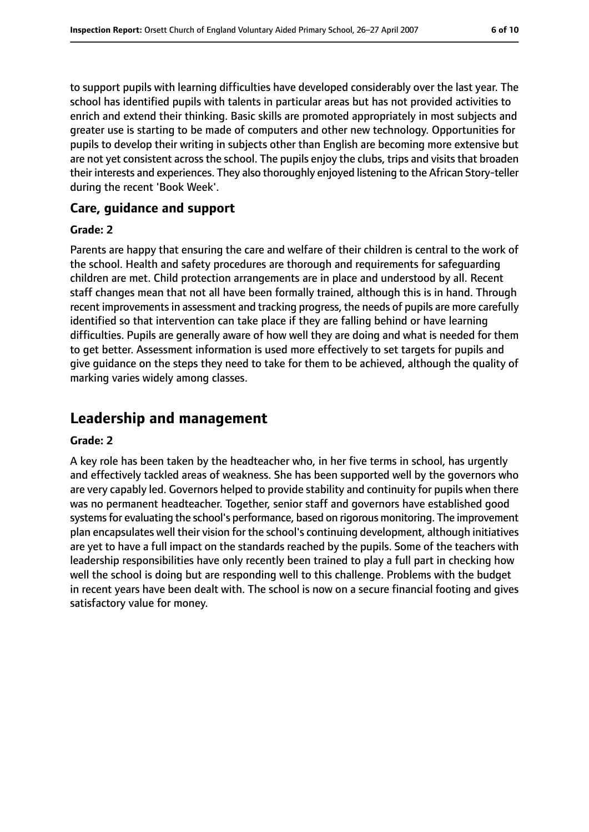to support pupils with learning difficulties have developed considerably over the last year. The school has identified pupils with talents in particular areas but has not provided activities to enrich and extend their thinking. Basic skills are promoted appropriately in most subjects and greater use is starting to be made of computers and other new technology. Opportunities for pupils to develop their writing in subjects other than English are becoming more extensive but are not yet consistent across the school. The pupils enjoy the clubs, trips and visits that broaden their interests and experiences. They also thoroughly enjoyed listening to the African Story-teller during the recent 'Book Week'.

#### **Care, guidance and support**

#### **Grade: 2**

Parents are happy that ensuring the care and welfare of their children is central to the work of the school. Health and safety procedures are thorough and requirements for safeguarding children are met. Child protection arrangements are in place and understood by all. Recent staff changes mean that not all have been formally trained, although this is in hand. Through recent improvements in assessment and tracking progress, the needs of pupils are more carefully identified so that intervention can take place if they are falling behind or have learning difficulties. Pupils are generally aware of how well they are doing and what is needed for them to get better. Assessment information is used more effectively to set targets for pupils and give guidance on the steps they need to take for them to be achieved, although the quality of marking varies widely among classes.

### **Leadership and management**

#### **Grade: 2**

A key role has been taken by the headteacher who, in her five terms in school, has urgently and effectively tackled areas of weakness. She has been supported well by the governors who are very capably led. Governors helped to provide stability and continuity for pupils when there was no permanent headteacher. Together, senior staff and governors have established good systems for evaluating the school's performance, based on rigorous monitoring. The improvement plan encapsulates well their vision for the school's continuing development, although initiatives are yet to have a full impact on the standards reached by the pupils. Some of the teachers with leadership responsibilities have only recently been trained to play a full part in checking how well the school is doing but are responding well to this challenge. Problems with the budget in recent years have been dealt with. The school is now on a secure financial footing and gives satisfactory value for money.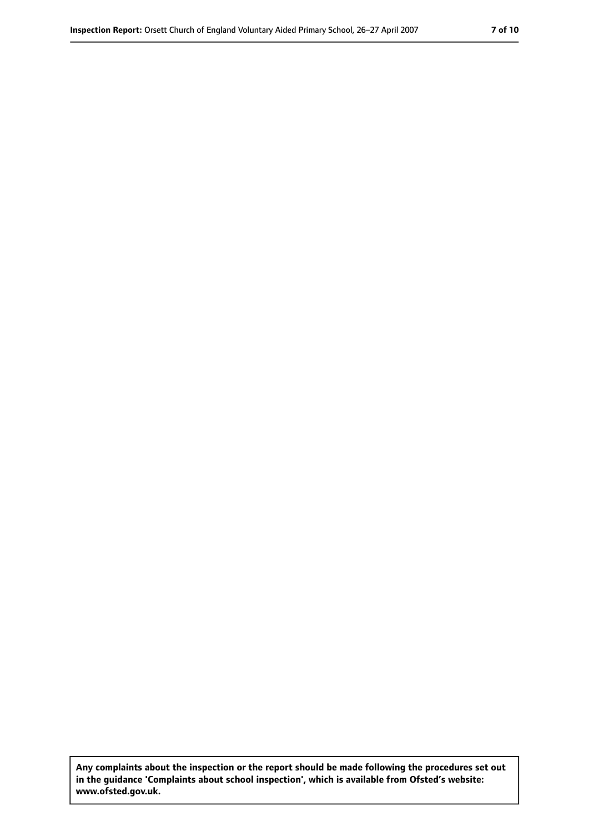**Any complaints about the inspection or the report should be made following the procedures set out in the guidance 'Complaints about school inspection', which is available from Ofsted's website: www.ofsted.gov.uk.**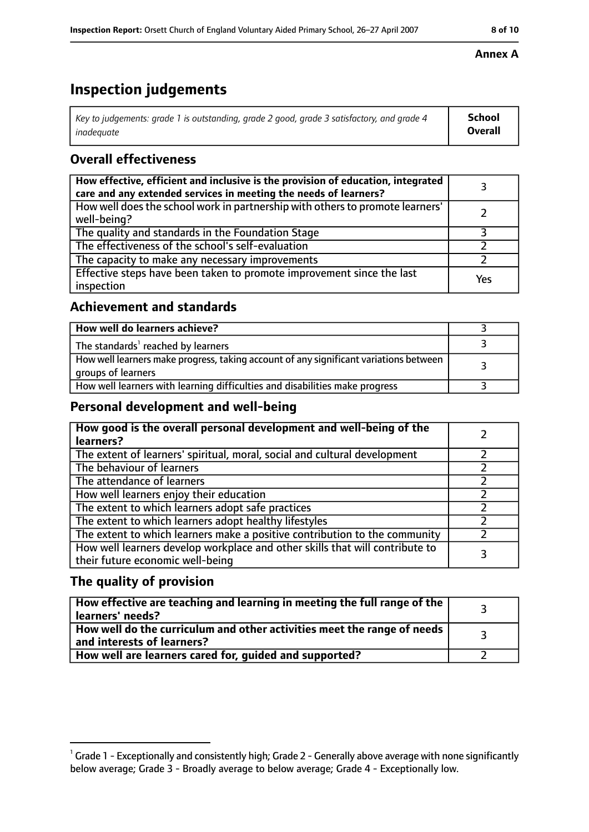## **Inspection judgements**

| $^{\circ}$ Key to judgements: grade 1 is outstanding, grade 2 good, grade 3 satisfactory, and grade 4 $^{\circ}$ | School         |
|------------------------------------------------------------------------------------------------------------------|----------------|
| inadeauate                                                                                                       | <b>Overall</b> |

### **Overall effectiveness**

| How effective, efficient and inclusive is the provision of education, integrated<br>care and any extended services in meeting the needs of learners? |     |
|------------------------------------------------------------------------------------------------------------------------------------------------------|-----|
| How well does the school work in partnership with others to promote learners'<br>well-being?                                                         |     |
| The quality and standards in the Foundation Stage                                                                                                    |     |
| The effectiveness of the school's self-evaluation                                                                                                    |     |
| The capacity to make any necessary improvements                                                                                                      |     |
| Effective steps have been taken to promote improvement since the last<br>inspection                                                                  | Yes |

### **Achievement and standards**

| How well do learners achieve?                                                                               |  |
|-------------------------------------------------------------------------------------------------------------|--|
| The standards <sup>1</sup> reached by learners                                                              |  |
| How well learners make progress, taking account of any significant variations between<br>groups of learners |  |
| How well learners with learning difficulties and disabilities make progress                                 |  |

#### **Personal development and well-being**

| How good is the overall personal development and well-being of the<br>learners?                                  |  |
|------------------------------------------------------------------------------------------------------------------|--|
| The extent of learners' spiritual, moral, social and cultural development                                        |  |
| The behaviour of learners                                                                                        |  |
| The attendance of learners                                                                                       |  |
| How well learners enjoy their education                                                                          |  |
| The extent to which learners adopt safe practices                                                                |  |
| The extent to which learners adopt healthy lifestyles                                                            |  |
| The extent to which learners make a positive contribution to the community                                       |  |
| How well learners develop workplace and other skills that will contribute to<br>their future economic well-being |  |

#### **The quality of provision**

| How effective are teaching and learning in meeting the full range of the<br>learners' needs?          |  |
|-------------------------------------------------------------------------------------------------------|--|
| How well do the curriculum and other activities meet the range of needs<br>and interests of learners? |  |
| How well are learners cared for, quided and supported?                                                |  |

#### **Annex A**

 $^1$  Grade 1 - Exceptionally and consistently high; Grade 2 - Generally above average with none significantly below average; Grade 3 - Broadly average to below average; Grade 4 - Exceptionally low.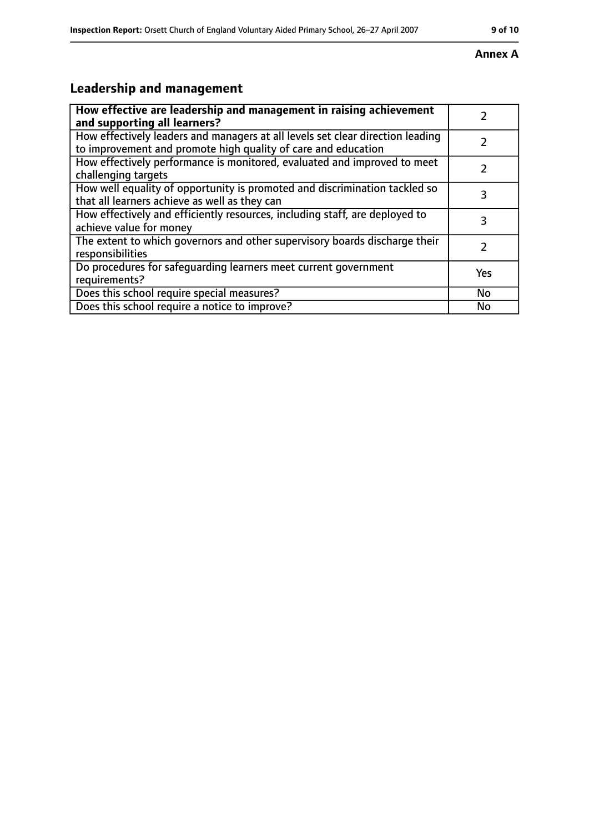### **Leadership and management How effective are leadership and management in raising achievement and supporting all learners?**

| How effective are leadership and management in raising achievement<br>and supporting all learners?                                              | 2              |
|-------------------------------------------------------------------------------------------------------------------------------------------------|----------------|
| How effectively leaders and managers at all levels set clear direction leading<br>to improvement and promote high quality of care and education | $\overline{2}$ |
| How effectively performance is monitored, evaluated and improved to meet<br>challenging targets                                                 | $\overline{2}$ |
| How well equality of opportunity is promoted and discrimination tackled so<br>that all learners achieve as well as they can                     | 3              |
| How effectively and efficiently resources, including staff, are deployed to<br>achieve value for money                                          | 3              |
| The extent to which governors and other supervisory boards discharge their<br>responsibilities                                                  | 2              |
| Do procedures for safequarding learners meet current government<br>requirements?                                                                | <b>Yes</b>     |
| Does this school require special measures?                                                                                                      | <b>No</b>      |
| Does this school require a notice to improve?                                                                                                   | No             |

#### **Annex A**